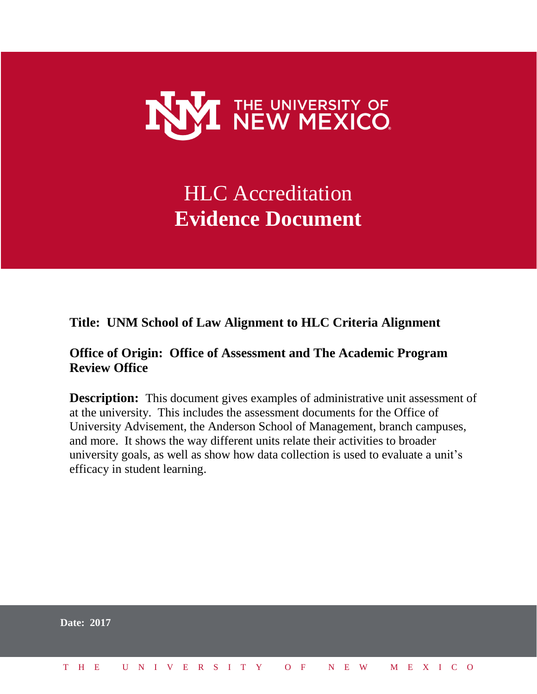

# HLC Accreditation **Evidence Document**

**Title: UNM School of Law Alignment to HLC Criteria Alignment**

#### **Office of Origin: Office of Assessment and The Academic Program Review Office**

**Description:** This document gives examples of administrative unit assessment of at the university. This includes the assessment documents for the Office of University Advisement, the Anderson School of Management, branch campuses, and more. It shows the way different units relate their activities to broader university goals, as well as show how data collection is used to evaluate a unit's efficacy in student learning.

|  | <b>Date: 2017</b> |  |  |  |  |  |  |  |  |                          |  |  |  |  |
|--|-------------------|--|--|--|--|--|--|--|--|--------------------------|--|--|--|--|
|  | T H E             |  |  |  |  |  |  |  |  | UNIVERSITY OF NEW MEXICO |  |  |  |  |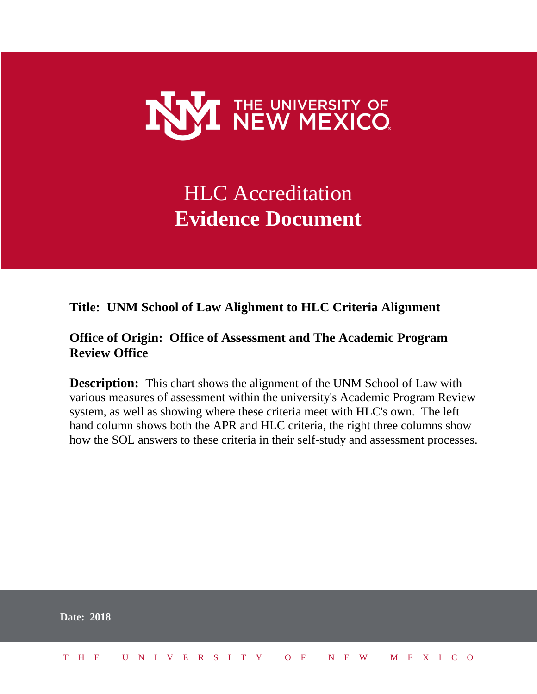

# HLC Accreditation **Evidence Document**

#### **Title: UNM School of Law Alighment to HLC Criteria Alignment**

#### **Office of Origin: Office of Assessment and The Academic Program Review Office**

**Description:** This chart shows the alignment of the UNM School of Law with various measures of assessment within the university's Academic Program Review system, as well as showing where these criteria meet with HLC's own. The left hand column shows both the APR and HLC criteria, the right three columns show how the SOL answers to these criteria in their self-study and assessment processes.

|  | <b>Date: 2018</b>            |  |  |  |  |  |  |  |  |  |  |  |  |
|--|------------------------------|--|--|--|--|--|--|--|--|--|--|--|--|
|  | THE UNIVERSITY OF NEW MEXICO |  |  |  |  |  |  |  |  |  |  |  |  |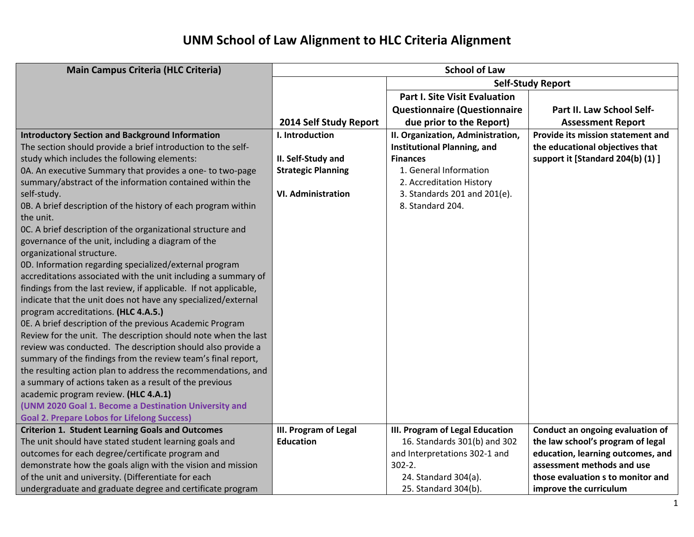| <b>Main Campus Criteria (HLC Criteria)</b>                       |                           | <b>School of Law</b>                 |                                   |
|------------------------------------------------------------------|---------------------------|--------------------------------------|-----------------------------------|
|                                                                  |                           |                                      | <b>Self-Study Report</b>          |
|                                                                  |                           | <b>Part I. Site Visit Evaluation</b> |                                   |
|                                                                  |                           | <b>Questionnaire (Questionnaire</b>  | Part II. Law School Self-         |
|                                                                  | 2014 Self Study Report    | due prior to the Report)             | <b>Assessment Report</b>          |
| <b>Introductory Section and Background Information</b>           | I. Introduction           | II. Organization, Administration,    | Provide its mission statement and |
| The section should provide a brief introduction to the self-     |                           | <b>Institutional Planning, and</b>   | the educational objectives that   |
| study which includes the following elements:                     | II. Self-Study and        | <b>Finances</b>                      | support it [Standard 204(b) (1) ] |
| 0A. An executive Summary that provides a one- to two-page        | <b>Strategic Planning</b> | 1. General Information               |                                   |
| summary/abstract of the information contained within the         |                           | 2. Accreditation History             |                                   |
| self-study.                                                      | <b>VI. Administration</b> | 3. Standards 201 and 201(e).         |                                   |
| 0B. A brief description of the history of each program within    |                           | 8. Standard 204.                     |                                   |
| the unit.                                                        |                           |                                      |                                   |
| OC. A brief description of the organizational structure and      |                           |                                      |                                   |
| governance of the unit, including a diagram of the               |                           |                                      |                                   |
| organizational structure.                                        |                           |                                      |                                   |
| 0D. Information regarding specialized/external program           |                           |                                      |                                   |
| accreditations associated with the unit including a summary of   |                           |                                      |                                   |
| findings from the last review, if applicable. If not applicable, |                           |                                      |                                   |
| indicate that the unit does not have any specialized/external    |                           |                                      |                                   |
| program accreditations. (HLC 4.A.5.)                             |                           |                                      |                                   |
| OE. A brief description of the previous Academic Program         |                           |                                      |                                   |
| Review for the unit. The description should note when the last   |                           |                                      |                                   |
| review was conducted. The description should also provide a      |                           |                                      |                                   |
| summary of the findings from the review team's final report,     |                           |                                      |                                   |
| the resulting action plan to address the recommendations, and    |                           |                                      |                                   |
| a summary of actions taken as a result of the previous           |                           |                                      |                                   |
| academic program review. (HLC 4.A.1)                             |                           |                                      |                                   |
| (UNM 2020 Goal 1. Become a Destination University and            |                           |                                      |                                   |
| <b>Goal 2. Prepare Lobos for Lifelong Success)</b>               |                           |                                      |                                   |
| <b>Criterion 1. Student Learning Goals and Outcomes</b>          | III. Program of Legal     | III. Program of Legal Education      | Conduct an ongoing evaluation of  |
| The unit should have stated student learning goals and           | <b>Education</b>          | 16. Standards 301(b) and 302         | the law school's program of legal |
| outcomes for each degree/certificate program and                 |                           | and Interpretations 302-1 and        | education, learning outcomes, and |
| demonstrate how the goals align with the vision and mission      |                           | $302 - 2.$                           | assessment methods and use        |
| of the unit and university. (Differentiate for each              |                           | 24. Standard 304(a).                 | those evaluation s to monitor and |
| undergraduate and graduate degree and certificate program        |                           | 25. Standard 304(b).                 | improve the curriculum            |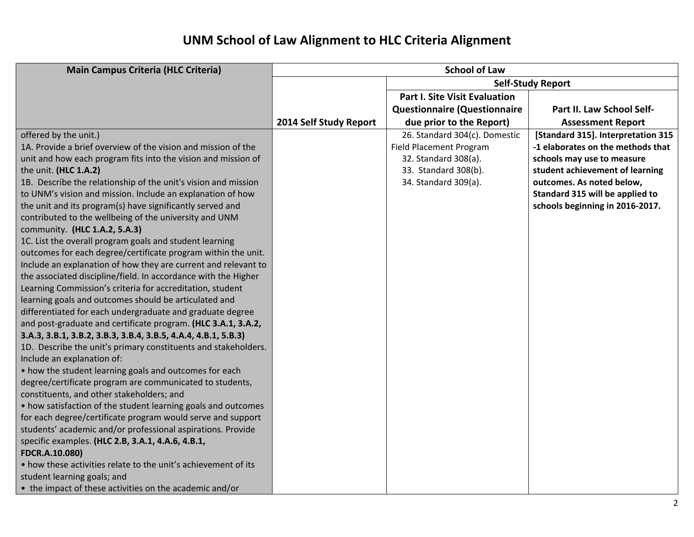| <b>Main Campus Criteria (HLC Criteria)</b>                                                                                                                                                                                                                                                                                                                                                                                                                                                                                                                                                                                                                                                                                                                                    |                        | <b>School of Law</b>                                                                                                                    |                                                                                                                                                                                                                                             |
|-------------------------------------------------------------------------------------------------------------------------------------------------------------------------------------------------------------------------------------------------------------------------------------------------------------------------------------------------------------------------------------------------------------------------------------------------------------------------------------------------------------------------------------------------------------------------------------------------------------------------------------------------------------------------------------------------------------------------------------------------------------------------------|------------------------|-----------------------------------------------------------------------------------------------------------------------------------------|---------------------------------------------------------------------------------------------------------------------------------------------------------------------------------------------------------------------------------------------|
|                                                                                                                                                                                                                                                                                                                                                                                                                                                                                                                                                                                                                                                                                                                                                                               |                        |                                                                                                                                         | <b>Self-Study Report</b>                                                                                                                                                                                                                    |
|                                                                                                                                                                                                                                                                                                                                                                                                                                                                                                                                                                                                                                                                                                                                                                               |                        | <b>Part I. Site Visit Evaluation</b>                                                                                                    |                                                                                                                                                                                                                                             |
|                                                                                                                                                                                                                                                                                                                                                                                                                                                                                                                                                                                                                                                                                                                                                                               |                        | <b>Questionnaire (Questionnaire</b>                                                                                                     | Part II. Law School Self-                                                                                                                                                                                                                   |
|                                                                                                                                                                                                                                                                                                                                                                                                                                                                                                                                                                                                                                                                                                                                                                               | 2014 Self Study Report | due prior to the Report)                                                                                                                | <b>Assessment Report</b>                                                                                                                                                                                                                    |
| offered by the unit.)<br>1A. Provide a brief overview of the vision and mission of the<br>unit and how each program fits into the vision and mission of<br>the unit. (HLC 1.A.2)<br>1B. Describe the relationship of the unit's vision and mission<br>to UNM's vision and mission. Include an explanation of how<br>the unit and its program(s) have significantly served and                                                                                                                                                                                                                                                                                                                                                                                                 |                        | 26. Standard 304(c). Domestic<br><b>Field Placement Program</b><br>32. Standard 308(a).<br>33. Standard 308(b).<br>34. Standard 309(a). | [Standard 315]. Interpretation 315<br>-1 elaborates on the methods that<br>schools may use to measure<br>student achievement of learning<br>outcomes. As noted below,<br>Standard 315 will be applied to<br>schools beginning in 2016-2017. |
| contributed to the wellbeing of the university and UNM<br>community. (HLC 1.A.2, 5.A.3)<br>1C. List the overall program goals and student learning<br>outcomes for each degree/certificate program within the unit.<br>Include an explanation of how they are current and relevant to<br>the associated discipline/field. In accordance with the Higher<br>Learning Commission's criteria for accreditation, student<br>learning goals and outcomes should be articulated and<br>differentiated for each undergraduate and graduate degree<br>and post-graduate and certificate program. (HLC 3.A.1, 3.A.2,<br>3.A.3, 3.B.1, 3.B.2, 3.B.3, 3.B.4, 3.B.5, 4.A.4, 4.B.1, 5.B.3)<br>1D. Describe the unit's primary constituents and stakeholders.<br>Include an explanation of: |                        |                                                                                                                                         |                                                                                                                                                                                                                                             |
| • how the student learning goals and outcomes for each<br>degree/certificate program are communicated to students,<br>constituents, and other stakeholders; and<br>• how satisfaction of the student learning goals and outcomes<br>for each degree/certificate program would serve and support<br>students' academic and/or professional aspirations. Provide<br>specific examples. (HLC 2.B, 3.A.1, 4.A.6, 4.B.1,<br>FDCR.A.10.080)<br>• how these activities relate to the unit's achievement of its<br>student learning goals; and<br>• the impact of these activities on the academic and/or                                                                                                                                                                             |                        |                                                                                                                                         |                                                                                                                                                                                                                                             |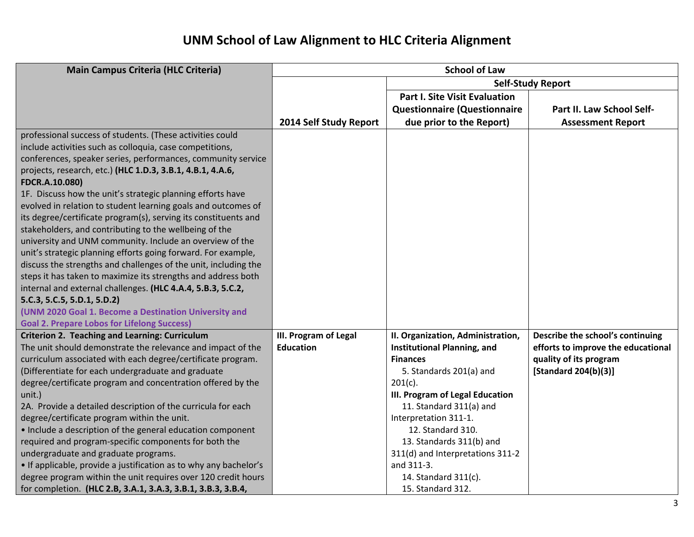| <b>Main Campus Criteria (HLC Criteria)</b>                                                                                                                                                                                                                                                                                                                                                                                                                                                                                                                                                                                                                                                                                                                                                                                                                                                                                                                                                                      | <b>School of Law</b>                      |                                                                                                                                                                                                                                                                                                                                                                            |                                                                                                                          |  |  |  |  |  |  |
|-----------------------------------------------------------------------------------------------------------------------------------------------------------------------------------------------------------------------------------------------------------------------------------------------------------------------------------------------------------------------------------------------------------------------------------------------------------------------------------------------------------------------------------------------------------------------------------------------------------------------------------------------------------------------------------------------------------------------------------------------------------------------------------------------------------------------------------------------------------------------------------------------------------------------------------------------------------------------------------------------------------------|-------------------------------------------|----------------------------------------------------------------------------------------------------------------------------------------------------------------------------------------------------------------------------------------------------------------------------------------------------------------------------------------------------------------------------|--------------------------------------------------------------------------------------------------------------------------|--|--|--|--|--|--|
|                                                                                                                                                                                                                                                                                                                                                                                                                                                                                                                                                                                                                                                                                                                                                                                                                                                                                                                                                                                                                 |                                           |                                                                                                                                                                                                                                                                                                                                                                            | <b>Self-Study Report</b>                                                                                                 |  |  |  |  |  |  |
|                                                                                                                                                                                                                                                                                                                                                                                                                                                                                                                                                                                                                                                                                                                                                                                                                                                                                                                                                                                                                 |                                           | <b>Part I. Site Visit Evaluation</b>                                                                                                                                                                                                                                                                                                                                       |                                                                                                                          |  |  |  |  |  |  |
|                                                                                                                                                                                                                                                                                                                                                                                                                                                                                                                                                                                                                                                                                                                                                                                                                                                                                                                                                                                                                 |                                           | <b>Questionnaire (Questionnaire</b>                                                                                                                                                                                                                                                                                                                                        | Part II. Law School Self-                                                                                                |  |  |  |  |  |  |
|                                                                                                                                                                                                                                                                                                                                                                                                                                                                                                                                                                                                                                                                                                                                                                                                                                                                                                                                                                                                                 | 2014 Self Study Report                    | due prior to the Report)                                                                                                                                                                                                                                                                                                                                                   | <b>Assessment Report</b>                                                                                                 |  |  |  |  |  |  |
| professional success of students. (These activities could<br>include activities such as colloquia, case competitions,<br>conferences, speaker series, performances, community service<br>projects, research, etc.) (HLC 1.D.3, 3.B.1, 4.B.1, 4.A.6,<br>FDCR.A.10.080)<br>1F. Discuss how the unit's strategic planning efforts have<br>evolved in relation to student learning goals and outcomes of<br>its degree/certificate program(s), serving its constituents and<br>stakeholders, and contributing to the wellbeing of the<br>university and UNM community. Include an overview of the<br>unit's strategic planning efforts going forward. For example,<br>discuss the strengths and challenges of the unit, including the<br>steps it has taken to maximize its strengths and address both<br>internal and external challenges. (HLC 4.A.4, 5.B.3, 5.C.2,<br>5.C.3, 5.C.5, 5.D.1, 5.D.2)<br>(UNM 2020 Goal 1. Become a Destination University and<br><b>Goal 2. Prepare Lobos for Lifelong Success)</b> |                                           |                                                                                                                                                                                                                                                                                                                                                                            |                                                                                                                          |  |  |  |  |  |  |
| <b>Criterion 2. Teaching and Learning: Curriculum</b><br>The unit should demonstrate the relevance and impact of the<br>curriculum associated with each degree/certificate program.<br>(Differentiate for each undergraduate and graduate<br>degree/certificate program and concentration offered by the<br>unit.)<br>2A. Provide a detailed description of the curricula for each<br>degree/certificate program within the unit.<br>• Include a description of the general education component<br>required and program-specific components for both the<br>undergraduate and graduate programs.<br>• If applicable, provide a justification as to why any bachelor's<br>degree program within the unit requires over 120 credit hours<br>for completion. (HLC 2.B, 3.A.1, 3.A.3, 3.B.1, 3.B.3, 3.B.4,                                                                                                                                                                                                          | III. Program of Legal<br><b>Education</b> | II. Organization, Administration,<br><b>Institutional Planning, and</b><br><b>Finances</b><br>5. Standards 201(a) and<br>$201(c)$ .<br>III. Program of Legal Education<br>11. Standard 311(a) and<br>Interpretation 311-1.<br>12. Standard 310.<br>13. Standards 311(b) and<br>311(d) and Interpretations 311-2<br>and 311-3.<br>14. Standard 311(c).<br>15. Standard 312. | Describe the school's continuing<br>efforts to improve the educational<br>quality of its program<br>[Standard 204(b)(3)] |  |  |  |  |  |  |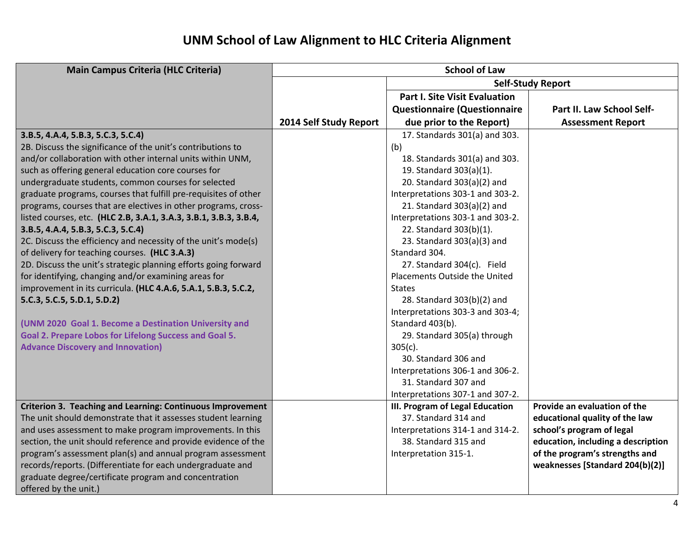| <b>Main Campus Criteria (HLC Criteria)</b>                        |                        | <b>School of Law</b>                 |                                    |
|-------------------------------------------------------------------|------------------------|--------------------------------------|------------------------------------|
|                                                                   |                        |                                      | <b>Self-Study Report</b>           |
|                                                                   |                        | <b>Part I. Site Visit Evaluation</b> |                                    |
|                                                                   |                        | <b>Questionnaire (Questionnaire</b>  | Part II. Law School Self-          |
|                                                                   | 2014 Self Study Report | due prior to the Report)             | <b>Assessment Report</b>           |
| 3.B.5, 4.A.4, 5.B.3, 5.C.3, 5.C.4)                                |                        | 17. Standards 301(a) and 303.        |                                    |
| 2B. Discuss the significance of the unit's contributions to       |                        | (b)                                  |                                    |
| and/or collaboration with other internal units within UNM,        |                        | 18. Standards 301(a) and 303.        |                                    |
| such as offering general education core courses for               |                        | 19. Standard 303(a)(1).              |                                    |
| undergraduate students, common courses for selected               |                        | 20. Standard 303(a)(2) and           |                                    |
| graduate programs, courses that fulfill pre-requisites of other   |                        | Interpretations 303-1 and 303-2.     |                                    |
| programs, courses that are electives in other programs, cross-    |                        | 21. Standard 303(a)(2) and           |                                    |
| listed courses, etc. (HLC 2.B, 3.A.1, 3.A.3, 3.B.1, 3.B.3, 3.B.4, |                        | Interpretations 303-1 and 303-2.     |                                    |
| 3.B.5, 4.A.4, 5.B.3, 5.C.3, 5.C.4)                                |                        | 22. Standard 303(b)(1).              |                                    |
| 2C. Discuss the efficiency and necessity of the unit's mode(s)    |                        | 23. Standard 303(a)(3) and           |                                    |
| of delivery for teaching courses. (HLC 3.A.3)                     |                        | Standard 304.                        |                                    |
| 2D. Discuss the unit's strategic planning efforts going forward   |                        | 27. Standard 304(c). Field           |                                    |
| for identifying, changing and/or examining areas for              |                        | Placements Outside the United        |                                    |
| improvement in its curricula. (HLC 4.A.6, 5.A.1, 5.B.3, 5.C.2,    |                        | <b>States</b>                        |                                    |
| 5.C.3, 5.C.5, 5.D.1, 5.D.2)                                       |                        | 28. Standard 303(b)(2) and           |                                    |
|                                                                   |                        | Interpretations 303-3 and 303-4;     |                                    |
| (UNM 2020 Goal 1. Become a Destination University and             |                        | Standard 403(b).                     |                                    |
| Goal 2. Prepare Lobos for Lifelong Success and Goal 5.            |                        | 29. Standard 305(a) through          |                                    |
| <b>Advance Discovery and Innovation)</b>                          |                        | $305(c)$ .                           |                                    |
|                                                                   |                        | 30. Standard 306 and                 |                                    |
|                                                                   |                        | Interpretations 306-1 and 306-2.     |                                    |
|                                                                   |                        | 31. Standard 307 and                 |                                    |
|                                                                   |                        | Interpretations 307-1 and 307-2.     |                                    |
| Criterion 3. Teaching and Learning: Continuous Improvement        |                        | III. Program of Legal Education      | Provide an evaluation of the       |
| The unit should demonstrate that it assesses student learning     |                        | 37. Standard 314 and                 | educational quality of the law     |
| and uses assessment to make program improvements. In this         |                        | Interpretations 314-1 and 314-2.     | school's program of legal          |
| section, the unit should reference and provide evidence of the    |                        | 38. Standard 315 and                 | education, including a description |
| program's assessment plan(s) and annual program assessment        |                        | Interpretation 315-1.                | of the program's strengths and     |
| records/reports. (Differentiate for each undergraduate and        |                        |                                      | weaknesses [Standard 204(b)(2)]    |
| graduate degree/certificate program and concentration             |                        |                                      |                                    |
| offered by the unit.)                                             |                        |                                      |                                    |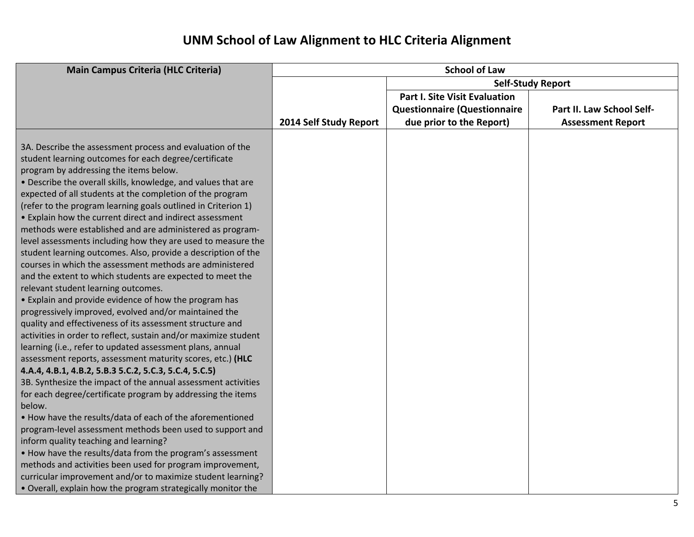| <b>Main Campus Criteria (HLC Criteria)</b>                      | <b>School of Law</b>   |                                      |                           |  |  |  |  |  |  |  |
|-----------------------------------------------------------------|------------------------|--------------------------------------|---------------------------|--|--|--|--|--|--|--|
|                                                                 |                        |                                      | <b>Self-Study Report</b>  |  |  |  |  |  |  |  |
|                                                                 |                        | <b>Part I. Site Visit Evaluation</b> |                           |  |  |  |  |  |  |  |
|                                                                 |                        | <b>Questionnaire (Questionnaire</b>  | Part II. Law School Self- |  |  |  |  |  |  |  |
|                                                                 | 2014 Self Study Report | due prior to the Report)             | <b>Assessment Report</b>  |  |  |  |  |  |  |  |
|                                                                 |                        |                                      |                           |  |  |  |  |  |  |  |
| 3A. Describe the assessment process and evaluation of the       |                        |                                      |                           |  |  |  |  |  |  |  |
| student learning outcomes for each degree/certificate           |                        |                                      |                           |  |  |  |  |  |  |  |
| program by addressing the items below.                          |                        |                                      |                           |  |  |  |  |  |  |  |
| • Describe the overall skills, knowledge, and values that are   |                        |                                      |                           |  |  |  |  |  |  |  |
| expected of all students at the completion of the program       |                        |                                      |                           |  |  |  |  |  |  |  |
| (refer to the program learning goals outlined in Criterion 1)   |                        |                                      |                           |  |  |  |  |  |  |  |
| • Explain how the current direct and indirect assessment        |                        |                                      |                           |  |  |  |  |  |  |  |
| methods were established and are administered as program-       |                        |                                      |                           |  |  |  |  |  |  |  |
| level assessments including how they are used to measure the    |                        |                                      |                           |  |  |  |  |  |  |  |
| student learning outcomes. Also, provide a description of the   |                        |                                      |                           |  |  |  |  |  |  |  |
| courses in which the assessment methods are administered        |                        |                                      |                           |  |  |  |  |  |  |  |
| and the extent to which students are expected to meet the       |                        |                                      |                           |  |  |  |  |  |  |  |
| relevant student learning outcomes.                             |                        |                                      |                           |  |  |  |  |  |  |  |
| • Explain and provide evidence of how the program has           |                        |                                      |                           |  |  |  |  |  |  |  |
| progressively improved, evolved and/or maintained the           |                        |                                      |                           |  |  |  |  |  |  |  |
| quality and effectiveness of its assessment structure and       |                        |                                      |                           |  |  |  |  |  |  |  |
| activities in order to reflect, sustain and/or maximize student |                        |                                      |                           |  |  |  |  |  |  |  |
| learning (i.e., refer to updated assessment plans, annual       |                        |                                      |                           |  |  |  |  |  |  |  |
| assessment reports, assessment maturity scores, etc.) (HLC      |                        |                                      |                           |  |  |  |  |  |  |  |
| 4.A.4, 4.B.1, 4.B.2, 5.B.3 5.C.2, 5.C.3, 5.C.4, 5.C.5)          |                        |                                      |                           |  |  |  |  |  |  |  |
| 3B. Synthesize the impact of the annual assessment activities   |                        |                                      |                           |  |  |  |  |  |  |  |
| for each degree/certificate program by addressing the items     |                        |                                      |                           |  |  |  |  |  |  |  |
| below.                                                          |                        |                                      |                           |  |  |  |  |  |  |  |
| . How have the results/data of each of the aforementioned       |                        |                                      |                           |  |  |  |  |  |  |  |
| program-level assessment methods been used to support and       |                        |                                      |                           |  |  |  |  |  |  |  |
| inform quality teaching and learning?                           |                        |                                      |                           |  |  |  |  |  |  |  |
| . How have the results/data from the program's assessment       |                        |                                      |                           |  |  |  |  |  |  |  |
| methods and activities been used for program improvement,       |                        |                                      |                           |  |  |  |  |  |  |  |
| curricular improvement and/or to maximize student learning?     |                        |                                      |                           |  |  |  |  |  |  |  |
| . Overall, explain how the program strategically monitor the    |                        |                                      |                           |  |  |  |  |  |  |  |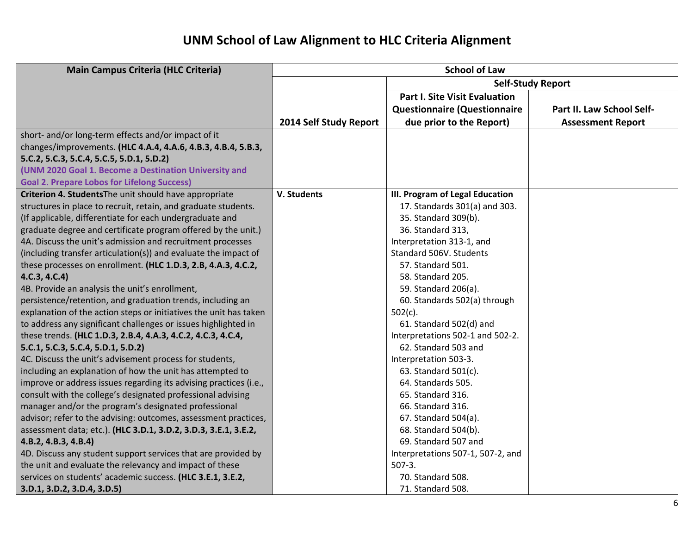| <b>Main Campus Criteria (HLC Criteria)</b>                        |                        | <b>School of Law</b>                 |                           |  |  |  |  |
|-------------------------------------------------------------------|------------------------|--------------------------------------|---------------------------|--|--|--|--|
|                                                                   |                        |                                      | <b>Self-Study Report</b>  |  |  |  |  |
|                                                                   |                        | <b>Part I. Site Visit Evaluation</b> |                           |  |  |  |  |
|                                                                   |                        | <b>Questionnaire (Questionnaire</b>  | Part II. Law School Self- |  |  |  |  |
|                                                                   | 2014 Self Study Report | due prior to the Report)             | <b>Assessment Report</b>  |  |  |  |  |
| short- and/or long-term effects and/or impact of it               |                        |                                      |                           |  |  |  |  |
| changes/improvements. (HLC 4.A.4, 4.A.6, 4.B.3, 4.B.4, 5.B.3,     |                        |                                      |                           |  |  |  |  |
| 5.C.2, 5.C.3, 5.C.4, 5.C.5, 5.D.1, 5.D.2)                         |                        |                                      |                           |  |  |  |  |
| (UNM 2020 Goal 1. Become a Destination University and             |                        |                                      |                           |  |  |  |  |
| <b>Goal 2. Prepare Lobos for Lifelong Success)</b>                |                        |                                      |                           |  |  |  |  |
| Criterion 4. Students The unit should have appropriate            | V. Students            | III. Program of Legal Education      |                           |  |  |  |  |
| structures in place to recruit, retain, and graduate students.    |                        | 17. Standards 301(a) and 303.        |                           |  |  |  |  |
| (If applicable, differentiate for each undergraduate and          |                        | 35. Standard 309(b).                 |                           |  |  |  |  |
| graduate degree and certificate program offered by the unit.)     |                        | 36. Standard 313,                    |                           |  |  |  |  |
| 4A. Discuss the unit's admission and recruitment processes        |                        | Interpretation 313-1, and            |                           |  |  |  |  |
| (including transfer articulation(s)) and evaluate the impact of   |                        | Standard 506V. Students              |                           |  |  |  |  |
| these processes on enrollment. (HLC 1.D.3, 2.B, 4.A.3, 4.C.2,     |                        | 57. Standard 501.                    |                           |  |  |  |  |
| 4.C.3, 4.C.4)                                                     |                        | 58. Standard 205.                    |                           |  |  |  |  |
| 4B. Provide an analysis the unit's enrollment,                    |                        | 59. Standard 206(a).                 |                           |  |  |  |  |
| persistence/retention, and graduation trends, including an        |                        | 60. Standards 502(a) through         |                           |  |  |  |  |
| explanation of the action steps or initiatives the unit has taken |                        | $502(c)$ .                           |                           |  |  |  |  |
| to address any significant challenges or issues highlighted in    |                        | 61. Standard 502(d) and              |                           |  |  |  |  |
| these trends. (HLC 1.D.3, 2.B.4, 4.A.3, 4.C.2, 4.C.3, 4.C.4,      |                        | Interpretations 502-1 and 502-2.     |                           |  |  |  |  |
| 5.C.1, 5.C.3, 5.C.4, 5.D.1, 5.D.2)                                |                        | 62. Standard 503 and                 |                           |  |  |  |  |
| 4C. Discuss the unit's advisement process for students,           |                        | Interpretation 503-3.                |                           |  |  |  |  |
| including an explanation of how the unit has attempted to         |                        | 63. Standard 501(c).                 |                           |  |  |  |  |
| improve or address issues regarding its advising practices (i.e., |                        | 64. Standards 505.                   |                           |  |  |  |  |
| consult with the college's designated professional advising       |                        | 65. Standard 316.                    |                           |  |  |  |  |
| manager and/or the program's designated professional              |                        | 66. Standard 316.                    |                           |  |  |  |  |
| advisor; refer to the advising: outcomes, assessment practices,   |                        | 67. Standard 504(a).                 |                           |  |  |  |  |
| assessment data; etc.). (HLC 3.D.1, 3.D.2, 3.D.3, 3.E.1, 3.E.2,   |                        | 68. Standard 504(b).                 |                           |  |  |  |  |
| 4.B.2, 4.B.3, 4.B.4)                                              |                        | 69. Standard 507 and                 |                           |  |  |  |  |
| 4D. Discuss any student support services that are provided by     |                        | Interpretations 507-1, 507-2, and    |                           |  |  |  |  |
| the unit and evaluate the relevancy and impact of these           |                        | $507-3.$                             |                           |  |  |  |  |
| services on students' academic success. (HLC 3.E.1, 3.E.2,        |                        | 70. Standard 508.                    |                           |  |  |  |  |
| 3.D.1, 3.D.2, 3.D.4, 3.D.5)                                       |                        | 71. Standard 508.                    |                           |  |  |  |  |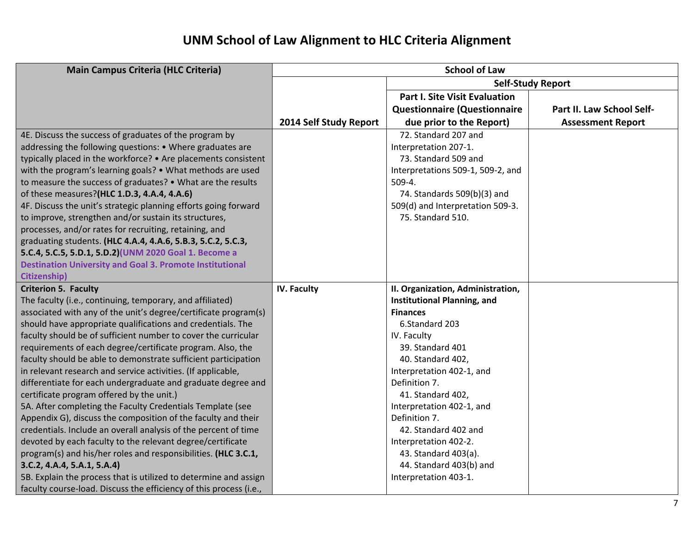| <b>Main Campus Criteria (HLC Criteria)</b>                         |                        | <b>School of Law</b>                 |                           |
|--------------------------------------------------------------------|------------------------|--------------------------------------|---------------------------|
|                                                                    |                        |                                      | <b>Self-Study Report</b>  |
|                                                                    |                        | <b>Part I. Site Visit Evaluation</b> |                           |
|                                                                    |                        | <b>Questionnaire (Questionnaire</b>  | Part II. Law School Self- |
|                                                                    | 2014 Self Study Report | due prior to the Report)             | <b>Assessment Report</b>  |
| 4E. Discuss the success of graduates of the program by             |                        | 72. Standard 207 and                 |                           |
| addressing the following questions: • Where graduates are          |                        | Interpretation 207-1.                |                           |
| typically placed in the workforce? • Are placements consistent     |                        | 73. Standard 509 and                 |                           |
| with the program's learning goals? • What methods are used         |                        | Interpretations 509-1, 509-2, and    |                           |
| to measure the success of graduates? • What are the results        |                        | 509-4.                               |                           |
| of these measures?(HLC 1.D.3, 4.A.4, 4.A.6)                        |                        | 74. Standards 509(b)(3) and          |                           |
| 4F. Discuss the unit's strategic planning efforts going forward    |                        | 509(d) and Interpretation 509-3.     |                           |
| to improve, strengthen and/or sustain its structures,              |                        | 75. Standard 510.                    |                           |
| processes, and/or rates for recruiting, retaining, and             |                        |                                      |                           |
| graduating students. (HLC 4.A.4, 4.A.6, 5.B.3, 5.C.2, 5.C.3,       |                        |                                      |                           |
| 5.C.4, 5.C.5, 5.D.1, 5.D.2)(UNM 2020 Goal 1. Become a              |                        |                                      |                           |
| <b>Destination University and Goal 3. Promote Institutional</b>    |                        |                                      |                           |
| <b>Citizenship)</b>                                                |                        |                                      |                           |
| <b>Criterion 5. Faculty</b>                                        | <b>IV. Faculty</b>     | II. Organization, Administration,    |                           |
| The faculty (i.e., continuing, temporary, and affiliated)          |                        | <b>Institutional Planning, and</b>   |                           |
| associated with any of the unit's degree/certificate program(s)    |                        | <b>Finances</b>                      |                           |
| should have appropriate qualifications and credentials. The        |                        | 6.Standard 203                       |                           |
| faculty should be of sufficient number to cover the curricular     |                        | IV. Faculty                          |                           |
| requirements of each degree/certificate program. Also, the         |                        | 39. Standard 401                     |                           |
| faculty should be able to demonstrate sufficient participation     |                        | 40. Standard 402,                    |                           |
| in relevant research and service activities. (If applicable,       |                        | Interpretation 402-1, and            |                           |
| differentiate for each undergraduate and graduate degree and       |                        | Definition 7.                        |                           |
| certificate program offered by the unit.)                          |                        | 41. Standard 402,                    |                           |
| 5A. After completing the Faculty Credentials Template (see         |                        | Interpretation 402-1, and            |                           |
| Appendix G), discuss the composition of the faculty and their      |                        | Definition 7.                        |                           |
| credentials. Include an overall analysis of the percent of time    |                        | 42. Standard 402 and                 |                           |
| devoted by each faculty to the relevant degree/certificate         |                        | Interpretation 402-2.                |                           |
| program(s) and his/her roles and responsibilities. (HLC 3.C.1,     |                        | 43. Standard 403(a).                 |                           |
| 3.C.2, 4.A.4, 5.A.1, 5.A.4)                                        |                        | 44. Standard 403(b) and              |                           |
| 5B. Explain the process that is utilized to determine and assign   |                        | Interpretation 403-1.                |                           |
| faculty course-load. Discuss the efficiency of this process (i.e., |                        |                                      |                           |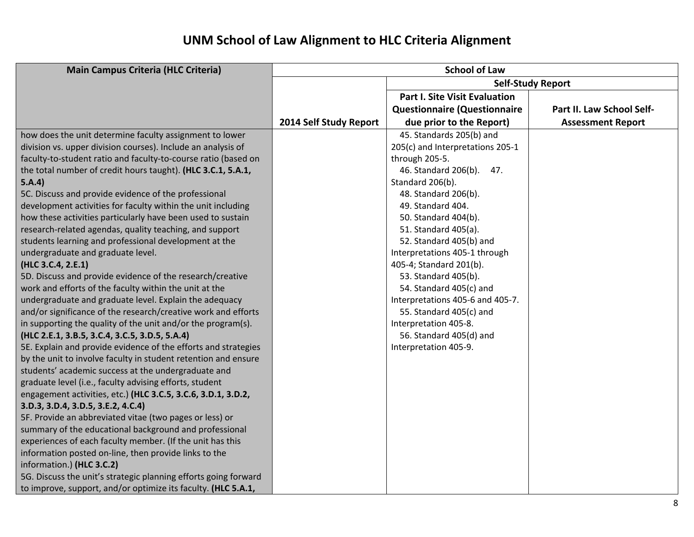| <b>Main Campus Criteria (HLC Criteria)</b>                      | <b>School of Law</b>   |                                      |                           |  |  |  |  |  |  |
|-----------------------------------------------------------------|------------------------|--------------------------------------|---------------------------|--|--|--|--|--|--|
|                                                                 |                        | <b>Self-Study Report</b>             |                           |  |  |  |  |  |  |
|                                                                 |                        | <b>Part I. Site Visit Evaluation</b> |                           |  |  |  |  |  |  |
|                                                                 |                        | <b>Questionnaire (Questionnaire</b>  | Part II. Law School Self- |  |  |  |  |  |  |
|                                                                 | 2014 Self Study Report | due prior to the Report)             | <b>Assessment Report</b>  |  |  |  |  |  |  |
| how does the unit determine faculty assignment to lower         |                        | 45. Standards 205(b) and             |                           |  |  |  |  |  |  |
| division vs. upper division courses). Include an analysis of    |                        | 205(c) and Interpretations 205-1     |                           |  |  |  |  |  |  |
| faculty-to-student ratio and faculty-to-course ratio (based on  |                        | through 205-5.                       |                           |  |  |  |  |  |  |
| the total number of credit hours taught). (HLC 3.C.1, 5.A.1,    |                        | 46. Standard 206(b).<br>47.          |                           |  |  |  |  |  |  |
| 5.A.4)                                                          |                        | Standard 206(b).                     |                           |  |  |  |  |  |  |
| 5C. Discuss and provide evidence of the professional            |                        | 48. Standard 206(b).                 |                           |  |  |  |  |  |  |
| development activities for faculty within the unit including    |                        | 49. Standard 404.                    |                           |  |  |  |  |  |  |
| how these activities particularly have been used to sustain     |                        | 50. Standard 404(b).                 |                           |  |  |  |  |  |  |
| research-related agendas, quality teaching, and support         |                        | 51. Standard 405(a).                 |                           |  |  |  |  |  |  |
| students learning and professional development at the           |                        | 52. Standard 405(b) and              |                           |  |  |  |  |  |  |
| undergraduate and graduate level.                               |                        | Interpretations 405-1 through        |                           |  |  |  |  |  |  |
| (HLC 3.C.4, 2.E.1)                                              |                        | 405-4; Standard 201(b).              |                           |  |  |  |  |  |  |
| 5D. Discuss and provide evidence of the research/creative       |                        | 53. Standard 405(b).                 |                           |  |  |  |  |  |  |
| work and efforts of the faculty within the unit at the          |                        | 54. Standard 405(c) and              |                           |  |  |  |  |  |  |
| undergraduate and graduate level. Explain the adequacy          |                        | Interpretations 405-6 and 405-7.     |                           |  |  |  |  |  |  |
| and/or significance of the research/creative work and efforts   |                        | 55. Standard 405(c) and              |                           |  |  |  |  |  |  |
| in supporting the quality of the unit and/or the program(s).    |                        | Interpretation 405-8.                |                           |  |  |  |  |  |  |
| (HLC 2.E.1, 3.B.5, 3.C.4, 3.C.5, 3.D.5, 5.A.4)                  |                        | 56. Standard 405(d) and              |                           |  |  |  |  |  |  |
| 5E. Explain and provide evidence of the efforts and strategies  |                        | Interpretation 405-9.                |                           |  |  |  |  |  |  |
| by the unit to involve faculty in student retention and ensure  |                        |                                      |                           |  |  |  |  |  |  |
| students' academic success at the undergraduate and             |                        |                                      |                           |  |  |  |  |  |  |
| graduate level (i.e., faculty advising efforts, student         |                        |                                      |                           |  |  |  |  |  |  |
| engagement activities, etc.) (HLC 3.C.5, 3.C.6, 3.D.1, 3.D.2,   |                        |                                      |                           |  |  |  |  |  |  |
| 3.D.3, 3.D.4, 3.D.5, 3.E.2, 4.C.4)                              |                        |                                      |                           |  |  |  |  |  |  |
| 5F. Provide an abbreviated vitae (two pages or less) or         |                        |                                      |                           |  |  |  |  |  |  |
| summary of the educational background and professional          |                        |                                      |                           |  |  |  |  |  |  |
| experiences of each faculty member. (If the unit has this       |                        |                                      |                           |  |  |  |  |  |  |
| information posted on-line, then provide links to the           |                        |                                      |                           |  |  |  |  |  |  |
| information.) (HLC 3.C.2)                                       |                        |                                      |                           |  |  |  |  |  |  |
| 5G. Discuss the unit's strategic planning efforts going forward |                        |                                      |                           |  |  |  |  |  |  |
| to improve, support, and/or optimize its faculty. (HLC 5.A.1,   |                        |                                      |                           |  |  |  |  |  |  |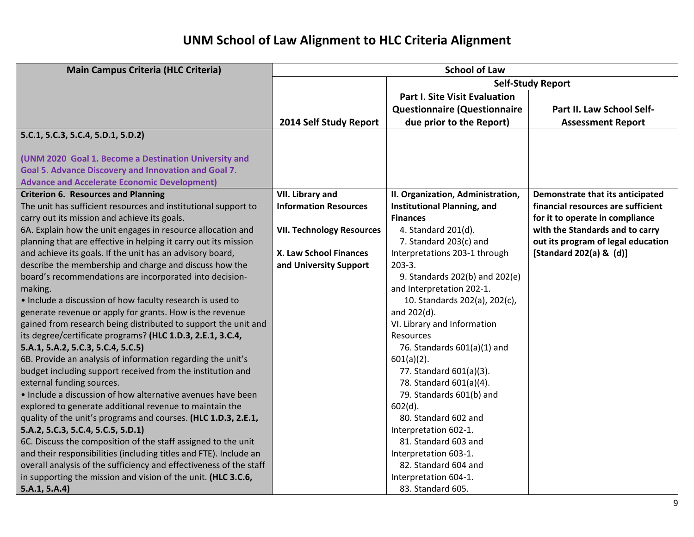| <b>Main Campus Criteria (HLC Criteria)</b>                         | <b>School of Law</b>             |                                      |                                    |  |  |  |  |  |  |
|--------------------------------------------------------------------|----------------------------------|--------------------------------------|------------------------------------|--|--|--|--|--|--|
|                                                                    |                                  |                                      | <b>Self-Study Report</b>           |  |  |  |  |  |  |
|                                                                    |                                  | <b>Part I. Site Visit Evaluation</b> |                                    |  |  |  |  |  |  |
|                                                                    |                                  | <b>Questionnaire (Questionnaire</b>  | Part II. Law School Self-          |  |  |  |  |  |  |
|                                                                    | 2014 Self Study Report           | due prior to the Report)             | <b>Assessment Report</b>           |  |  |  |  |  |  |
| 5.C.1, 5.C.3, 5.C.4, 5.D.1, 5.D.2)                                 |                                  |                                      |                                    |  |  |  |  |  |  |
|                                                                    |                                  |                                      |                                    |  |  |  |  |  |  |
| (UNM 2020 Goal 1. Become a Destination University and              |                                  |                                      |                                    |  |  |  |  |  |  |
| Goal 5. Advance Discovery and Innovation and Goal 7.               |                                  |                                      |                                    |  |  |  |  |  |  |
| <b>Advance and Accelerate Economic Development)</b>                |                                  |                                      |                                    |  |  |  |  |  |  |
| <b>Criterion 6. Resources and Planning</b>                         | VII. Library and                 | II. Organization, Administration,    | Demonstrate that its anticipated   |  |  |  |  |  |  |
| The unit has sufficient resources and institutional support to     | <b>Information Resources</b>     | <b>Institutional Planning, and</b>   | financial resources are sufficient |  |  |  |  |  |  |
| carry out its mission and achieve its goals.                       |                                  | <b>Finances</b>                      | for it to operate in compliance    |  |  |  |  |  |  |
| 6A. Explain how the unit engages in resource allocation and        | <b>VII. Technology Resources</b> | 4. Standard 201(d).                  | with the Standards and to carry    |  |  |  |  |  |  |
| planning that are effective in helping it carry out its mission    |                                  | 7. Standard 203(c) and               | out its program of legal education |  |  |  |  |  |  |
| and achieve its goals. If the unit has an advisory board,          | X. Law School Finances           | Interpretations 203-1 through        | [Standard 202(a) & (d)]            |  |  |  |  |  |  |
| describe the membership and charge and discuss how the             | and University Support           | $203-3.$                             |                                    |  |  |  |  |  |  |
| board's recommendations are incorporated into decision-            |                                  | 9. Standards 202(b) and 202(e)       |                                    |  |  |  |  |  |  |
| making.                                                            |                                  | and Interpretation 202-1.            |                                    |  |  |  |  |  |  |
| • Include a discussion of how faculty research is used to          |                                  | 10. Standards 202(a), 202(c),        |                                    |  |  |  |  |  |  |
| generate revenue or apply for grants. How is the revenue           |                                  | and 202(d).                          |                                    |  |  |  |  |  |  |
| gained from research being distributed to support the unit and     |                                  | VI. Library and Information          |                                    |  |  |  |  |  |  |
| its degree/certificate programs? (HLC 1.D.3, 2.E.1, 3.C.4,         |                                  | Resources                            |                                    |  |  |  |  |  |  |
| 5.A.1, 5.A.2, 5.C.3, 5.C.4, 5.C.5)                                 |                                  | 76. Standards 601(a)(1) and          |                                    |  |  |  |  |  |  |
| 6B. Provide an analysis of information regarding the unit's        |                                  | $601(a)(2)$ .                        |                                    |  |  |  |  |  |  |
| budget including support received from the institution and         |                                  | 77. Standard 601(a)(3).              |                                    |  |  |  |  |  |  |
| external funding sources.                                          |                                  | 78. Standard 601(a)(4).              |                                    |  |  |  |  |  |  |
| • Include a discussion of how alternative avenues have been        |                                  | 79. Standards 601(b) and             |                                    |  |  |  |  |  |  |
| explored to generate additional revenue to maintain the            |                                  | $602(d)$ .                           |                                    |  |  |  |  |  |  |
| quality of the unit's programs and courses. (HLC 1.D.3, 2.E.1,     |                                  | 80. Standard 602 and                 |                                    |  |  |  |  |  |  |
| 5.A.2, 5.C.3, 5.C.4, 5.C.5, 5.D.1)                                 |                                  | Interpretation 602-1.                |                                    |  |  |  |  |  |  |
| 6C. Discuss the composition of the staff assigned to the unit      |                                  | 81. Standard 603 and                 |                                    |  |  |  |  |  |  |
| and their responsibilities (including titles and FTE). Include an  |                                  | Interpretation 603-1.                |                                    |  |  |  |  |  |  |
| overall analysis of the sufficiency and effectiveness of the staff |                                  | 82. Standard 604 and                 |                                    |  |  |  |  |  |  |
| in supporting the mission and vision of the unit. (HLC 3.C.6,      |                                  | Interpretation 604-1.                |                                    |  |  |  |  |  |  |
| 5.A.1, 5.A.4)                                                      |                                  | 83. Standard 605.                    |                                    |  |  |  |  |  |  |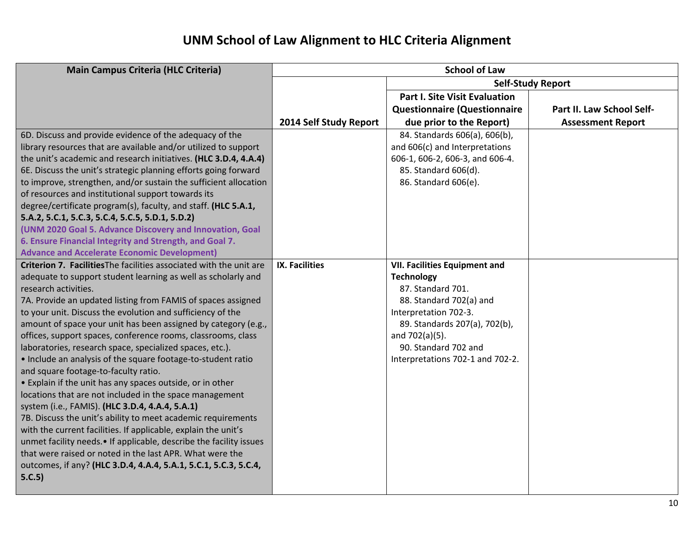| <b>Main Campus Criteria (HLC Criteria)</b>                          |                        | <b>School of Law</b>                 |                           |  |  |  |  |  |  |  |
|---------------------------------------------------------------------|------------------------|--------------------------------------|---------------------------|--|--|--|--|--|--|--|
|                                                                     |                        |                                      | <b>Self-Study Report</b>  |  |  |  |  |  |  |  |
|                                                                     |                        | <b>Part I. Site Visit Evaluation</b> |                           |  |  |  |  |  |  |  |
|                                                                     |                        | <b>Questionnaire (Questionnaire</b>  | Part II. Law School Self- |  |  |  |  |  |  |  |
|                                                                     | 2014 Self Study Report | due prior to the Report)             | <b>Assessment Report</b>  |  |  |  |  |  |  |  |
| 6D. Discuss and provide evidence of the adequacy of the             |                        | 84. Standards 606(a), 606(b),        |                           |  |  |  |  |  |  |  |
| library resources that are available and/or utilized to support     |                        | and 606(c) and Interpretations       |                           |  |  |  |  |  |  |  |
| the unit's academic and research initiatives. (HLC 3.D.4, 4.A.4)    |                        | 606-1, 606-2, 606-3, and 606-4.      |                           |  |  |  |  |  |  |  |
| 6E. Discuss the unit's strategic planning efforts going forward     |                        | 85. Standard 606(d).                 |                           |  |  |  |  |  |  |  |
| to improve, strengthen, and/or sustain the sufficient allocation    |                        | 86. Standard 606(e).                 |                           |  |  |  |  |  |  |  |
| of resources and institutional support towards its                  |                        |                                      |                           |  |  |  |  |  |  |  |
| degree/certificate program(s), faculty, and staff. (HLC 5.A.1,      |                        |                                      |                           |  |  |  |  |  |  |  |
| 5.A.2, 5.C.1, 5.C.3, 5.C.4, 5.C.5, 5.D.1, 5.D.2)                    |                        |                                      |                           |  |  |  |  |  |  |  |
| (UNM 2020 Goal 5. Advance Discovery and Innovation, Goal            |                        |                                      |                           |  |  |  |  |  |  |  |
| 6. Ensure Financial Integrity and Strength, and Goal 7.             |                        |                                      |                           |  |  |  |  |  |  |  |
| <b>Advance and Accelerate Economic Development)</b>                 |                        |                                      |                           |  |  |  |  |  |  |  |
| Criterion 7. Facilities The facilities associated with the unit are | <b>IX. Facilities</b>  | <b>VII. Facilities Equipment and</b> |                           |  |  |  |  |  |  |  |
| adequate to support student learning as well as scholarly and       |                        | <b>Technology</b>                    |                           |  |  |  |  |  |  |  |
| research activities.                                                |                        | 87. Standard 701.                    |                           |  |  |  |  |  |  |  |
| 7A. Provide an updated listing from FAMIS of spaces assigned        |                        | 88. Standard 702(a) and              |                           |  |  |  |  |  |  |  |
| to your unit. Discuss the evolution and sufficiency of the          |                        | Interpretation 702-3.                |                           |  |  |  |  |  |  |  |
| amount of space your unit has been assigned by category (e.g.,      |                        | 89. Standards 207(a), 702(b),        |                           |  |  |  |  |  |  |  |
| offices, support spaces, conference rooms, classrooms, class        |                        | and 702(a)(5).                       |                           |  |  |  |  |  |  |  |
| laboratories, research space, specialized spaces, etc.).            |                        | 90. Standard 702 and                 |                           |  |  |  |  |  |  |  |
| . Include an analysis of the square footage-to-student ratio        |                        | Interpretations 702-1 and 702-2.     |                           |  |  |  |  |  |  |  |
| and square footage-to-faculty ratio.                                |                        |                                      |                           |  |  |  |  |  |  |  |
| • Explain if the unit has any spaces outside, or in other           |                        |                                      |                           |  |  |  |  |  |  |  |
| locations that are not included in the space management             |                        |                                      |                           |  |  |  |  |  |  |  |
| system (i.e., FAMIS). (HLC 3.D.4, 4.A.4, 5.A.1)                     |                        |                                      |                           |  |  |  |  |  |  |  |
| 7B. Discuss the unit's ability to meet academic requirements        |                        |                                      |                           |  |  |  |  |  |  |  |
| with the current facilities. If applicable, explain the unit's      |                        |                                      |                           |  |  |  |  |  |  |  |
| unmet facility needs.• If applicable, describe the facility issues  |                        |                                      |                           |  |  |  |  |  |  |  |
| that were raised or noted in the last APR. What were the            |                        |                                      |                           |  |  |  |  |  |  |  |
| outcomes, if any? (HLC 3.D.4, 4.A.4, 5.A.1, 5.C.1, 5.C.3, 5.C.4,    |                        |                                      |                           |  |  |  |  |  |  |  |
| 5.C.5)                                                              |                        |                                      |                           |  |  |  |  |  |  |  |
|                                                                     |                        |                                      |                           |  |  |  |  |  |  |  |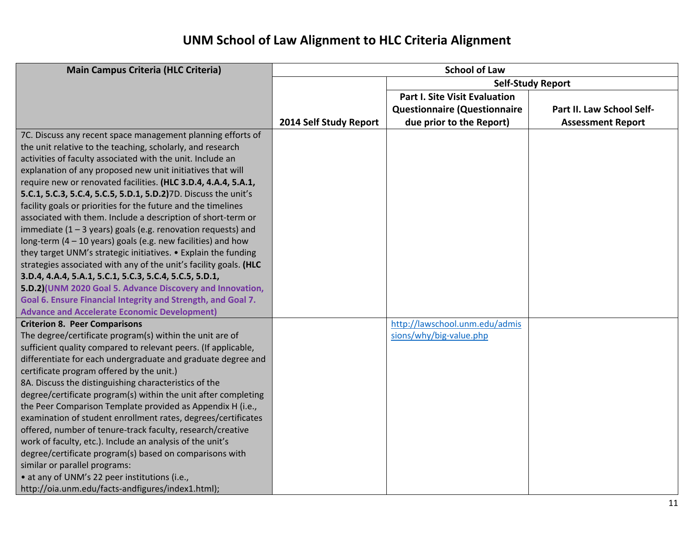| <b>Main Campus Criteria (HLC Criteria)</b>                        | <b>School of Law</b>     |                                      |                           |
|-------------------------------------------------------------------|--------------------------|--------------------------------------|---------------------------|
|                                                                   | <b>Self-Study Report</b> |                                      |                           |
|                                                                   |                          | <b>Part I. Site Visit Evaluation</b> |                           |
|                                                                   |                          | <b>Questionnaire (Questionnaire</b>  | Part II. Law School Self- |
|                                                                   | 2014 Self Study Report   | due prior to the Report)             | <b>Assessment Report</b>  |
| 7C. Discuss any recent space management planning efforts of       |                          |                                      |                           |
| the unit relative to the teaching, scholarly, and research        |                          |                                      |                           |
| activities of faculty associated with the unit. Include an        |                          |                                      |                           |
| explanation of any proposed new unit initiatives that will        |                          |                                      |                           |
| require new or renovated facilities. (HLC 3.D.4, 4.A.4, 5.A.1,    |                          |                                      |                           |
| 5.C.1, 5.C.3, 5.C.4, 5.C.5, 5.D.1, 5.D.2)7D. Discuss the unit's   |                          |                                      |                           |
| facility goals or priorities for the future and the timelines     |                          |                                      |                           |
| associated with them. Include a description of short-term or      |                          |                                      |                           |
| immediate $(1 - 3$ years) goals (e.g. renovation requests) and    |                          |                                      |                           |
| long-term $(4 - 10$ years) goals (e.g. new facilities) and how    |                          |                                      |                           |
| they target UNM's strategic initiatives. • Explain the funding    |                          |                                      |                           |
| strategies associated with any of the unit's facility goals. (HLC |                          |                                      |                           |
| 3.D.4, 4.A.4, 5.A.1, 5.C.1, 5.C.3, 5.C.4, 5.C.5, 5.D.1,           |                          |                                      |                           |
| 5.D.2)(UNM 2020 Goal 5. Advance Discovery and Innovation,         |                          |                                      |                           |
| Goal 6. Ensure Financial Integrity and Strength, and Goal 7.      |                          |                                      |                           |
| <b>Advance and Accelerate Economic Development)</b>               |                          |                                      |                           |
| <b>Criterion 8. Peer Comparisons</b>                              |                          | http://lawschool.unm.edu/admis       |                           |
| The degree/certificate program(s) within the unit are of          |                          | sions/why/big-value.php              |                           |
| sufficient quality compared to relevant peers. (If applicable,    |                          |                                      |                           |
| differentiate for each undergraduate and graduate degree and      |                          |                                      |                           |
| certificate program offered by the unit.)                         |                          |                                      |                           |
| 8A. Discuss the distinguishing characteristics of the             |                          |                                      |                           |
| degree/certificate program(s) within the unit after completing    |                          |                                      |                           |
| the Peer Comparison Template provided as Appendix H (i.e.,        |                          |                                      |                           |
| examination of student enrollment rates, degrees/certificates     |                          |                                      |                           |
| offered, number of tenure-track faculty, research/creative        |                          |                                      |                           |
| work of faculty, etc.). Include an analysis of the unit's         |                          |                                      |                           |
| degree/certificate program(s) based on comparisons with           |                          |                                      |                           |
| similar or parallel programs:                                     |                          |                                      |                           |
| • at any of UNM's 22 peer institutions (i.e.,                     |                          |                                      |                           |
| http://oia.unm.edu/facts-andfigures/index1.html);                 |                          |                                      |                           |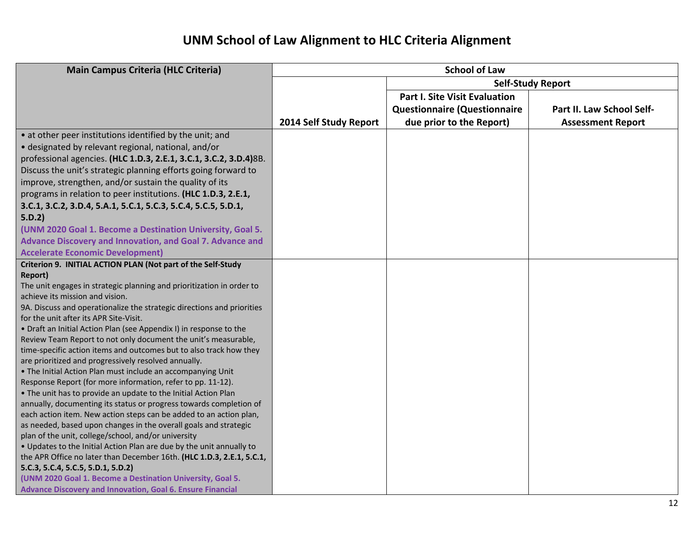| <b>Main Campus Criteria (HLC Criteria)</b>                                                                                             | <b>School of Law</b>   |                                      |                           |
|----------------------------------------------------------------------------------------------------------------------------------------|------------------------|--------------------------------------|---------------------------|
|                                                                                                                                        |                        |                                      | <b>Self-Study Report</b>  |
|                                                                                                                                        |                        | <b>Part I. Site Visit Evaluation</b> |                           |
|                                                                                                                                        |                        | <b>Questionnaire (Questionnaire</b>  | Part II. Law School Self- |
|                                                                                                                                        | 2014 Self Study Report | due prior to the Report)             | <b>Assessment Report</b>  |
| • at other peer institutions identified by the unit; and                                                                               |                        |                                      |                           |
| · designated by relevant regional, national, and/or                                                                                    |                        |                                      |                           |
| professional agencies. (HLC 1.D.3, 2.E.1, 3.C.1, 3.C.2, 3.D.4)8B.                                                                      |                        |                                      |                           |
| Discuss the unit's strategic planning efforts going forward to                                                                         |                        |                                      |                           |
| improve, strengthen, and/or sustain the quality of its                                                                                 |                        |                                      |                           |
| programs in relation to peer institutions. (HLC 1.D.3, 2.E.1,                                                                          |                        |                                      |                           |
| 3.C.1, 3.C.2, 3.D.4, 5.A.1, 5.C.1, 5.C.3, 5.C.4, 5.C.5, 5.D.1,                                                                         |                        |                                      |                           |
| 5.D.2)                                                                                                                                 |                        |                                      |                           |
| (UNM 2020 Goal 1. Become a Destination University, Goal 5.                                                                             |                        |                                      |                           |
| Advance Discovery and Innovation, and Goal 7. Advance and                                                                              |                        |                                      |                           |
| <b>Accelerate Economic Development)</b>                                                                                                |                        |                                      |                           |
| Criterion 9. INITIAL ACTION PLAN (Not part of the Self-Study                                                                           |                        |                                      |                           |
| <b>Report)</b>                                                                                                                         |                        |                                      |                           |
| The unit engages in strategic planning and prioritization in order to                                                                  |                        |                                      |                           |
| achieve its mission and vision.                                                                                                        |                        |                                      |                           |
| 9A. Discuss and operationalize the strategic directions and priorities                                                                 |                        |                                      |                           |
| for the unit after its APR Site-Visit.                                                                                                 |                        |                                      |                           |
| • Draft an Initial Action Plan (see Appendix I) in response to the                                                                     |                        |                                      |                           |
| Review Team Report to not only document the unit's measurable,                                                                         |                        |                                      |                           |
| time-specific action items and outcomes but to also track how they                                                                     |                        |                                      |                           |
| are prioritized and progressively resolved annually.                                                                                   |                        |                                      |                           |
| . The Initial Action Plan must include an accompanying Unit                                                                            |                        |                                      |                           |
| Response Report (for more information, refer to pp. 11-12).                                                                            |                        |                                      |                           |
| . The unit has to provide an update to the Initial Action Plan                                                                         |                        |                                      |                           |
| annually, documenting its status or progress towards completion of                                                                     |                        |                                      |                           |
| each action item. New action steps can be added to an action plan,<br>as needed, based upon changes in the overall goals and strategic |                        |                                      |                           |
| plan of the unit, college/school, and/or university                                                                                    |                        |                                      |                           |
| . Updates to the Initial Action Plan are due by the unit annually to                                                                   |                        |                                      |                           |
| the APR Office no later than December 16th. (HLC 1.D.3, 2.E.1, 5.C.1,                                                                  |                        |                                      |                           |
| 5.C.3, 5.C.4, 5.C.5, 5.D.1, 5.D.2)                                                                                                     |                        |                                      |                           |
| (UNM 2020 Goal 1. Become a Destination University, Goal 5.                                                                             |                        |                                      |                           |
| <b>Advance Discovery and Innovation, Goal 6. Ensure Financial</b>                                                                      |                        |                                      |                           |